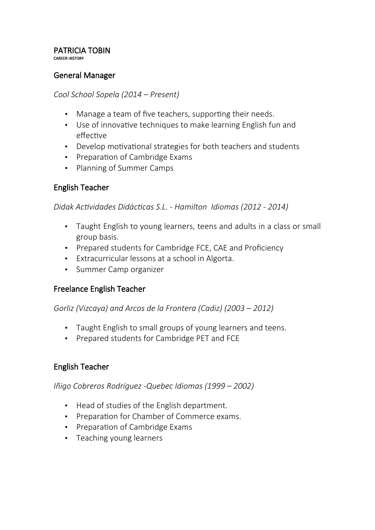#### PATRICIA TOBIN CAREER HISTORY

### General Manager

#### *Cool School Sopela (2014 – Present)*

- Manage a team of five teachers, supporting their needs.
- Use of innovative techniques to make learning English fun and effective
- Develop motivational strategies for both teachers and students
- Preparation of Cambridge Exams
- Planning of Summer Camps

## English Teacher

*Didak Actividades Didácticas S.L. - Hamilton Idiomas (2012 - 2014)*

- Taught English to young learners, teens and adults in a class or small group basis.
- Prepared students for Cambridge FCE, CAE and Proficiency
- Extracurricular lessons at a school in Algorta.
- Summer Camp organizer

### Freelance English Teacher

*Gorliz (Vizcaya) and Arcos de la Frontera (Cadiz) (2003 – 2012)*

- Taught English to small groups of young learners and teens.
- Prepared students for Cambridge PET and FCE

### English Teacher

*Iñigo Cobreros Rodríguez -Quebec Idiomas (1999 – 2002)*

- Head of studies of the English department.
- Preparation for Chamber of Commerce exams.
- Preparation of Cambridge Exams
- Teaching young learners